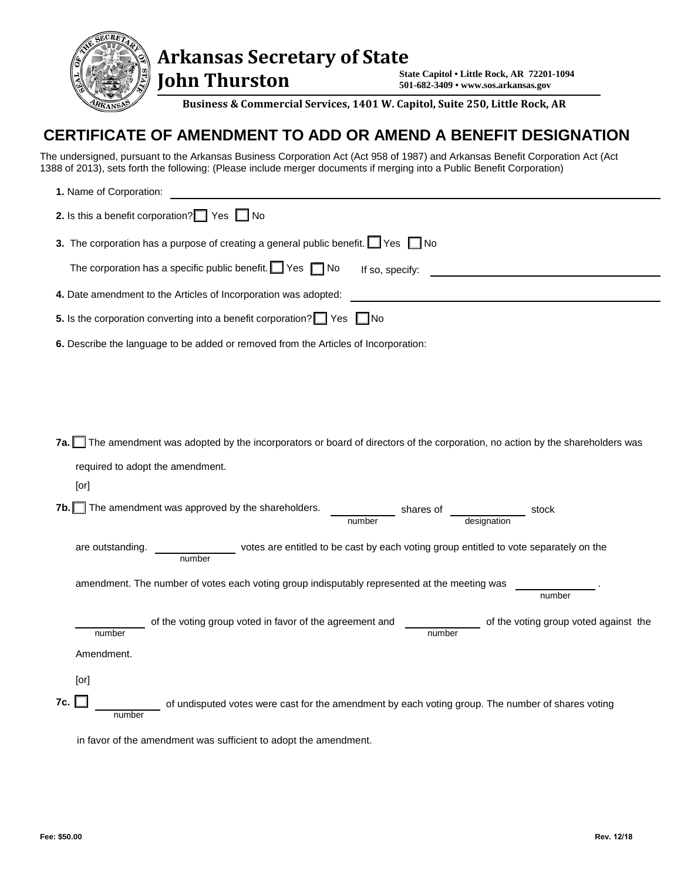

 **John Thurston** 

**State Capitol • Little Rock, AR 72201-1094 501-682-3409 • www.sos.arkansas.gov**

**Business & Commercial Services, 1401 W. Capitol, Suite 250, Little Rock, AR** 

## **CERTIFICATE OF AMENDMENT TO ADD OR AMEND A BENEFIT DESIGNATION**

The undersigned, pursuant to the Arkansas Business Corporation Act (Act 958 of 1987) and Arkansas Benefit Corporation Act (Act 1388 of 2013), sets forth the following: (Please include merger documents if merging into a Public Benefit Corporation)

| 1. Name of Corporation:                                                                                                           |
|-----------------------------------------------------------------------------------------------------------------------------------|
| 2. Is this a benefit corporation? $\Box$ Yes $\Box$ No                                                                            |
| 3. The corporation has a purpose of creating a general public benefit. $\Box$ Yes $\Box$ No                                       |
| The corporation has a specific public benefit. $\Box$ Yes $\Box$ No<br>If so, specify:                                            |
| 4. Date amendment to the Articles of Incorporation was adopted:                                                                   |
| 5. Is the corporation converting into a benefit corporation?   Yes   No                                                           |
| 6. Describe the language to be added or removed from the Articles of Incorporation:                                               |
|                                                                                                                                   |
|                                                                                                                                   |
|                                                                                                                                   |
| The amendment was adopted by the incorporators or board of directors of the corporation, no action by the shareholders was<br>7a. |
| required to adopt the amendment.                                                                                                  |
| [or]                                                                                                                              |
| $\Box$ The amendment was approved by the shareholders.<br>7b.<br>shares of<br>designation<br>stock<br>number                      |
| votes are entitled to be cast by each voting group entitled to vote separately on the<br>are outstanding.<br>number               |
| amendment. The number of votes each voting group indisputably represented at the meeting was<br>number                            |
|                                                                                                                                   |
| of the voting group voted in favor of the agreement and<br>of the voting group voted against the<br>number<br>number              |
| Amendment.                                                                                                                        |
| [or]                                                                                                                              |
| 7c.<br>of undisputed votes were cast for the amendment by each voting group. The number of shares voting<br>number                |

in favor of the amendment was sufficient to adopt the amendment.